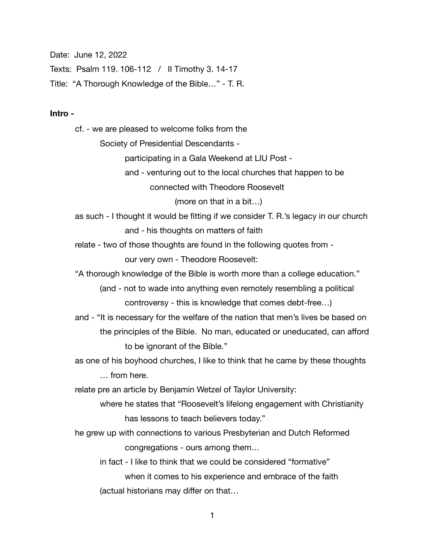Date: June 12, 2022

Texts: Psalm 119. 106-112 / II Timothy 3. 14-17

Title: "A Thorough Knowledge of the Bible…" - T. R.

## **Intro -**

cf. - we are pleased to welcome folks from the

 Society of Presidential Descendants -

 participating in a Gala Weekend at LIU Post -

 and - venturing out to the local churches that happen to be

 connected with Theodore Roosevelt

 (more on that in a bit…)

as such - I thought it would be fitting if we consider T. R.'s legacy in our church and - his thoughts on matters of faith

relate - two of those thoughts are found in the following quotes from -

 our very own - Theodore Roosevelt:

"A thorough knowledge of the Bible is worth more than a college education."

 (and - not to wade into anything even remotely resembling a political controversy - this is knowledge that comes debt-free…)

and - "It is necessary for the welfare of the nation that men's lives be based on the principles of the Bible. No man, educated or uneducated, can afford to be ignorant of the Bible."

as one of his boyhood churches, I like to think that he came by these thoughts

 … from here.

relate pre an article by Benjamin Wetzel of Taylor University:

 where he states that "Roosevelt's lifelong engagement with Christianity has lessons to teach believers today."

he grew up with connections to various Presbyterian and Dutch Reformed congregations - ours among them…

 in fact - I like to think that we could be considered "formative" when it comes to his experience and embrace of the faith (actual historians may differ on that…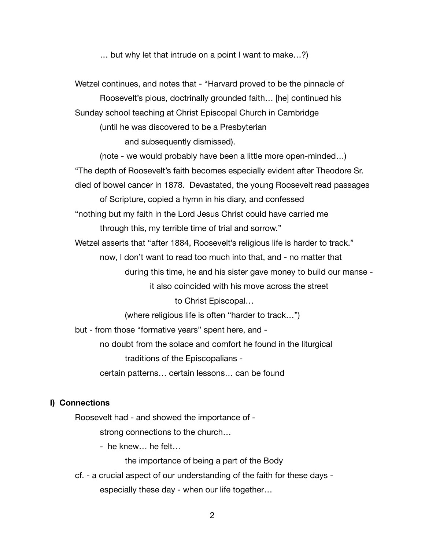… but why let that intrude on a point I want to make…?)

Wetzel continues, and notes that - "Harvard proved to be the pinnacle of Roosevelt's pious, doctrinally grounded faith… [he] continued his Sunday school teaching at Christ Episcopal Church in Cambridge (until he was discovered to be a Presbyterian and subsequently dismissed). (note - we would probably have been a little more open-minded…) "The depth of Roosevelt's faith becomes especially evident after Theodore Sr. died of bowel cancer in 1878. Devastated, the young Roosevelt read passages of Scripture, copied a hymn in his diary, and confessed "nothing but my faith in the Lord Jesus Christ could have carried me through this, my terrible time of trial and sorrow." Wetzel asserts that "after 1884, Roosevelt's religious life is harder to track." now, I don't want to read too much into that, and - no matter that during this time, he and his sister gave money to build our manse - it also coincided with his move across the street to Christ Episcopal… (where religious life is often "harder to track…") but - from those "formative years" spent here, and - no doubt from the solace and comfort he found in the liturgical traditions of the Episcopalians - certain patterns… certain lessons… can be found

## **I) Connections**

Roosevelt had - and showed the importance of -

 strong connections to the church… 

 - he knew… he felt…

 the importance of being a part of the Body

cf. - a crucial aspect of our understanding of the faith for these days - especially these day - when our life together…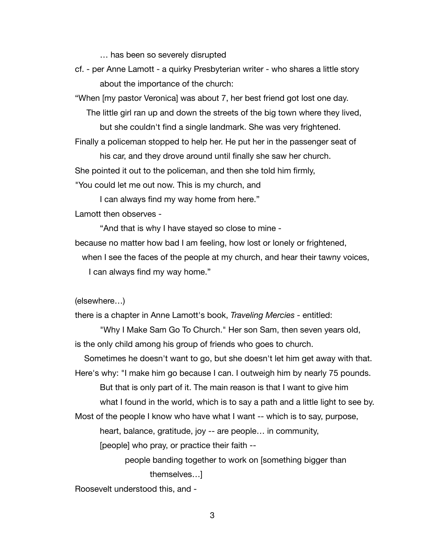… has been so severely disrupted

cf. - per Anne Lamott - a quirky Presbyterian writer - who shares a little story about the importance of the church:

"When [my pastor Veronica] was about 7, her best friend got lost one day.

The little girl ran up and down the streets of the big town where they lived, 

 but she couldn't find a single landmark. She was very frightened.

Finally a policeman stopped to help her. He put her in the passenger seat of

 his car, and they drove around until finally she saw her church.

She pointed it out to the policeman, and then she told him firmly,

"You could let me out now. This is my church, and

 I can always find my way home from here."

Lamott then observes -

 "And that is why I have stayed so close to mine -

because no matter how bad I am feeling, how lost or lonely or frightened,

 when I see the faces of the people at my church, and hear their tawny voices, I can always find my way home."

(elsewhere…)

there is a chapter in Anne Lamott's book, *Traveling Mercies -* entitled:

 "Why I Make Sam Go To Church." Her son Sam, then seven years old, is the only child among his group of friends who goes to church.

 Sometimes he doesn't want to go, but she doesn't let him get away with that. Here's why: "I make him go because I can. I outweigh him by nearly 75 pounds. 

 But that is only part of it. The main reason is that I want to give him what I found in the world, which is to say a path and a little light to see by.

Most of the people I know who have what I want -- which is to say, purpose, 

 heart, balance, gratitude, joy -- are people… in community,

 [people] who pray, or practice their faith --

 people banding together to work on [something bigger than themselves…]

Roosevelt understood this, and -

3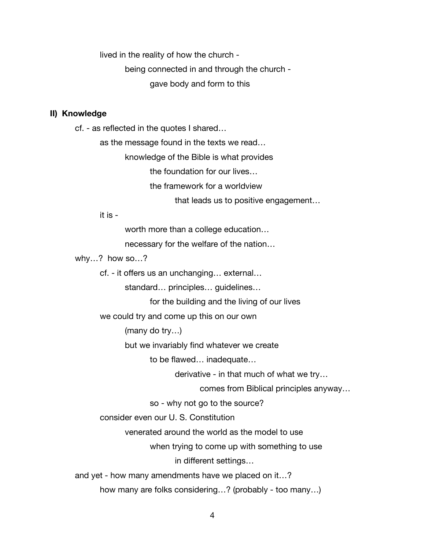lived in the reality of how the church -

 being connected in and through the church - gave body and form to this

## **II) Knowledge**

cf. - as reflected in the quotes I shared…

 as the message found in the texts we read…

 knowledge of the Bible is what provides

 the foundation for our lives…

 the framework for a worldview

 that leads us to positive engagement… 

 it is -

 worth more than a college education…

 necessary for the welfare of the nation…

why…? how so…?

 cf. - it offers us an unchanging… external…

 standard… principles… guidelines…

 for the building and the living of our lives

 we could try and come up this on our own

 (many do try…)

 but we invariably find whatever we create

 to be flawed… inadequate…

 derivative - in that much of what we try…

 comes from Biblical principles anyway…

 so - why not go to the source?

 consider even our U. S. Constitution

 venerated around the world as the model to use

 when trying to come up with something to use

 in different settings…

and yet - how many amendments have we placed on it…?

 how many are folks considering…? (probably - too many…)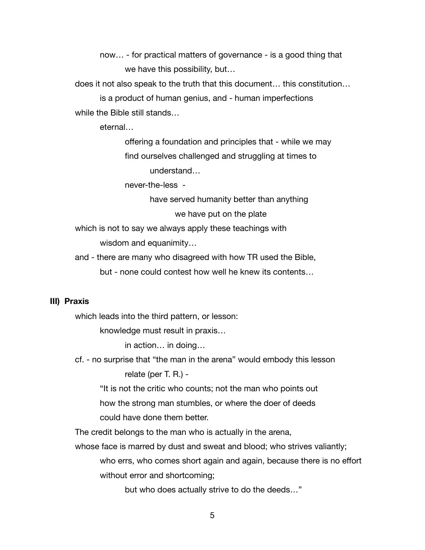now… - for practical matters of governance - is a good thing that we have this possibility, but…

does it not also speak to the truth that this document… this constitution…

 is a product of human genius, and - human imperfections while the Bible still stands…

 eternal…

 offering a foundation and principles that - while we may find ourselves challenged and struggling at times to understand…

 never-the-less -

 have served humanity better than anything we have put on the plate

which is not to say we always apply these teachings with wisdom and equanimity…

and - there are many who disagreed with how TR used the Bible,

 but - none could contest how well he knew its contents…

## **III) Praxis**

which leads into the third pattern, or lesson:

 knowledge must result in praxis…

 in action… in doing…

cf. - no surprise that "the man in the arena" would embody this lesson relate (per T. R.) -

 "It is not the critic who counts; not the man who points out how the strong man stumbles, or where the doer of deeds could have done them better.

The credit belongs to the man who is actually in the arena,

whose face is marred by dust and sweat and blood; who strives valiantly; who errs, who comes short again and again, because there is no effort without error and shortcoming;

 but who does actually strive to do the deeds…"